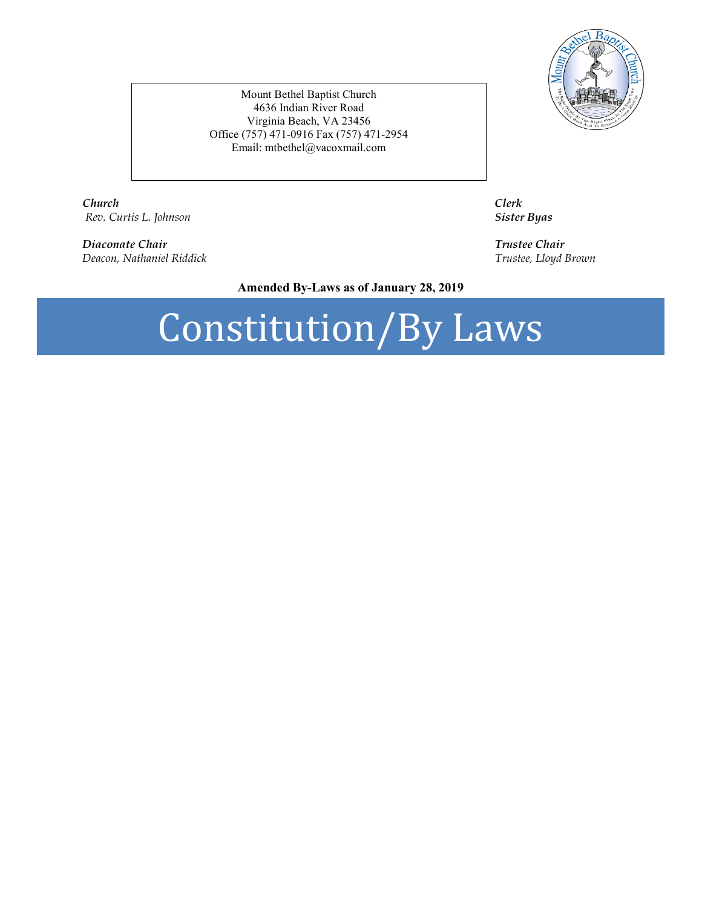Mount Bethel Baptist Church 4636 Indian River Road Virginia Beach, VA 23456 Office (757) 471-0916 Fax (757) 471-2954 Email: mtbethel@vacoxmail.com

*Church Clerk Rev. Curtis L. Johnson Sister Byas*

*Diaconate Chair Trustee Chair*  $Deacon, Nathaniel Riddick$ 

**Amended By-Laws as of January 28, 2019**

# Constitution/By Laws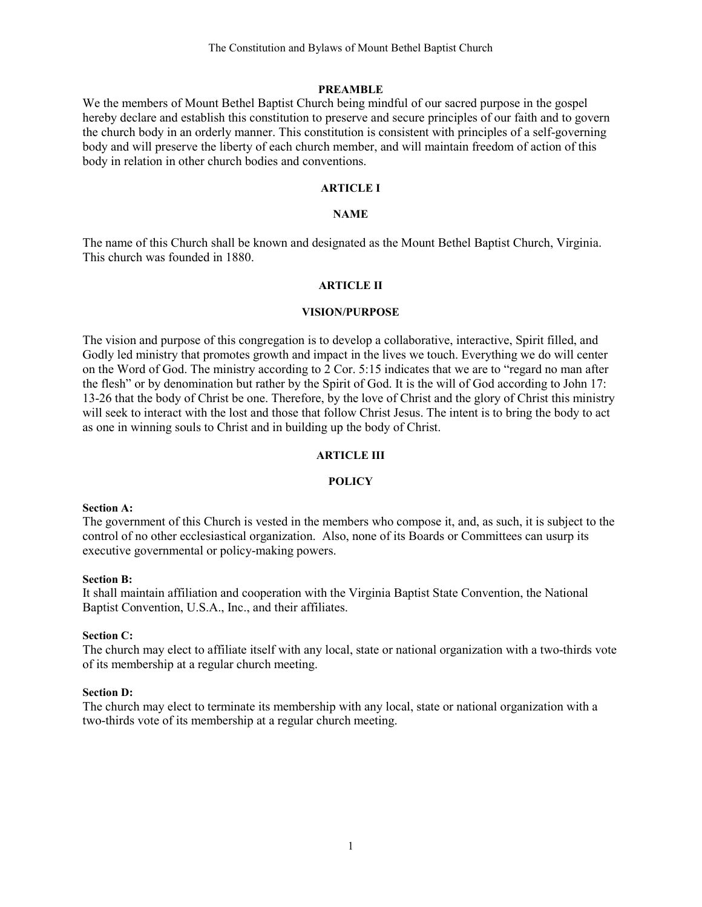#### **PREAMBLE**

We the members of Mount Bethel Baptist Church being mindful of our sacred purpose in the gospel hereby declare and establish this constitution to preserve and secure principles of our faith and to govern the church body in an orderly manner. This constitution is consistent with principles of a self-governing body and will preserve the liberty of each church member, and will maintain freedom of action of this body in relation in other church bodies and conventions.

#### **ARTICLE I**

#### **NAME**

The name of this Church shall be known and designated as the Mount Bethel Baptist Church, Virginia. This church was founded in 1880.

#### **ARTICLE II**

#### **VISION/PURPOSE**

The vision and purpose of this congregation is to develop a collaborative, interactive, Spirit filled, and Godly led ministry that promotes growth and impact in the lives we touch. Everything we do will center on the Word of God. The ministry according to 2 Cor. 5:15 indicates that we are to "regard no man after the flesh" or by denomination but rather by the Spirit of God. It is the will of God according to John 17: 13-26 that the body of Christ be one. Therefore, by the love of Christ and the glory of Christ this ministry will seek to interact with the lost and those that follow Christ Jesus. The intent is to bring the body to act as one in winning souls to Christ and in building up the body of Christ.

#### **ARTICLE III**

#### **POLICY**

#### **Section A:**

The government of this Church is vested in the members who compose it, and, as such, it is subject to the control of no other ecclesiastical organization. Also, none of its Boards or Committees can usurp its executive governmental or policy-making powers.

#### **Section B:**

It shall maintain affiliation and cooperation with the Virginia Baptist State Convention, the National Baptist Convention, U.S.A., Inc., and their affiliates.

#### **Section C:**

The church may elect to affiliate itself with any local, state or national organization with a two-thirds vote of its membership at a regular church meeting.

#### **Section D:**

The church may elect to terminate its membership with any local, state or national organization with a two-thirds vote of its membership at a regular church meeting.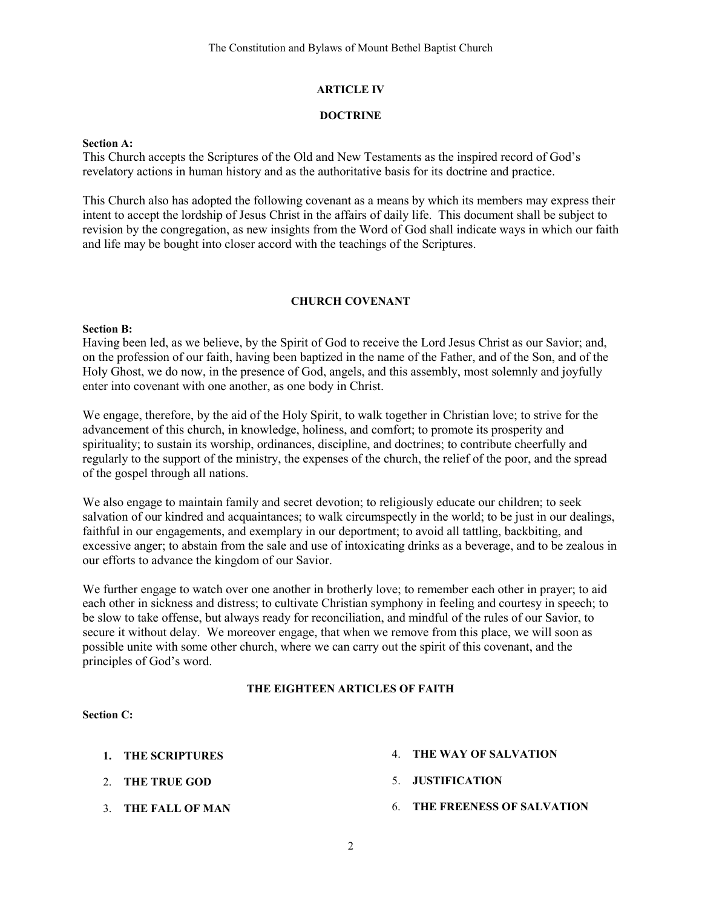#### **ARTICLE IV**

#### **DOCTRINE**

#### **Section A:**

This Church accepts the Scriptures of the Old and New Testaments as the inspired record of God's revelatory actions in human history and as the authoritative basis for its doctrine and practice.

This Church also has adopted the following covenant as a means by which its members may express their intent to accept the lordship of Jesus Christ in the affairs of daily life. This document shall be subject to revision by the congregation, as new insights from the Word of God shall indicate ways in which our faith and life may be bought into closer accord with the teachings of the Scriptures.

#### **CHURCH COVENANT**

#### **Section B:**

Having been led, as we believe, by the Spirit of God to receive the Lord Jesus Christ as our Savior; and, on the profession of our faith, having been baptized in the name of the Father, and of the Son, and of the Holy Ghost, we do now, in the presence of God, angels, and this assembly, most solemnly and joyfully enter into covenant with one another, as one body in Christ.

We engage, therefore, by the aid of the Holy Spirit, to walk together in Christian love; to strive for the advancement of this church, in knowledge, holiness, and comfort; to promote its prosperity and spirituality; to sustain its worship, ordinances, discipline, and doctrines; to contribute cheerfully and regularly to the support of the ministry, the expenses of the church, the relief of the poor, and the spread of the gospel through all nations.

We also engage to maintain family and secret devotion; to religiously educate our children; to seek salvation of our kindred and acquaintances; to walk circumspectly in the world; to be just in our dealings, faithful in our engagements, and exemplary in our deportment; to avoid all tattling, backbiting, and excessive anger; to abstain from the sale and use of intoxicating drinks as a beverage, and to be zealous in our efforts to advance the kingdom of our Savior.

We further engage to watch over one another in brotherly love; to remember each other in prayer; to aid each other in sickness and distress; to cultivate Christian symphony in feeling and courtesy in speech; to be slow to take offense, but always ready for reconciliation, and mindful of the rules of our Savior, to secure it without delay. We moreover engage, that when we remove from this place, we will soon as possible unite with some other church, where we can carry out the spirit of this covenant, and the principles of God's word.

#### **THE EIGHTEEN ARTICLES OF FAITH**

#### **Section C:**

- **1. THE SCRIPTURES**
- 2. **THE TRUE GOD**
- 3. **THE FALL OF MAN**
- 4. **THE WAY OF SALVATION**
- 5. **JUSTIFICATION**
- 6. **THE FREENESS OF SALVATION**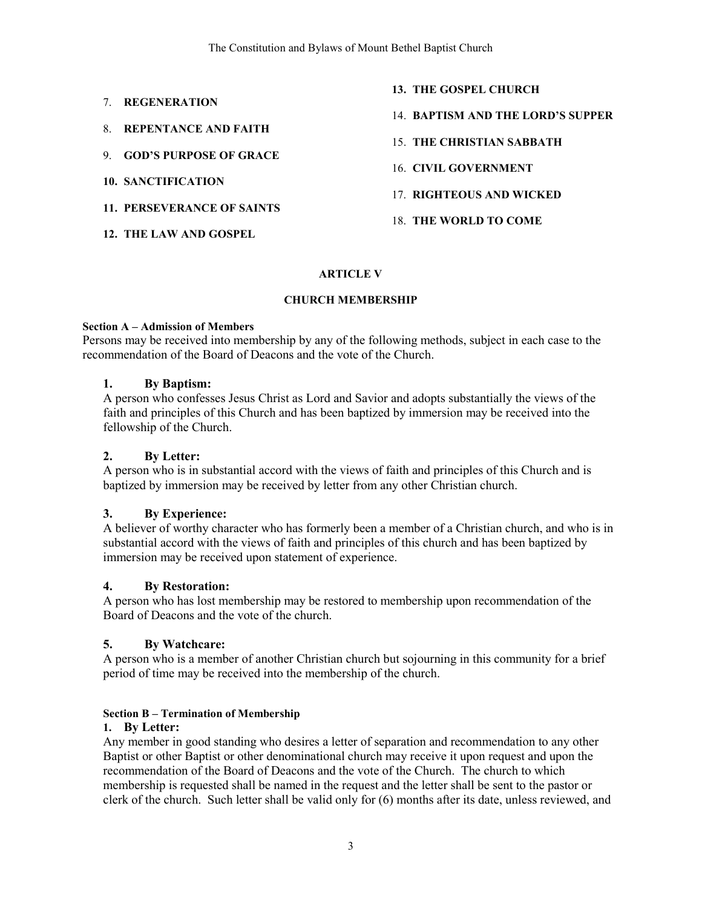|    |                                   | <b>13. THE GOSPEL CHURCH</b>             |
|----|-----------------------------------|------------------------------------------|
| 7. | <b>REGENERATION</b>               |                                          |
|    |                                   | <b>14. BAPTISM AND THE LORD'S SUPPER</b> |
|    | 8. REPENTANCE AND FAITH           |                                          |
|    |                                   | <b>15 THE CHRISTIAN SABBATH</b>          |
|    | <b>9 GOD'S PURPOSE OF GRACE</b>   |                                          |
|    | <b>10. SANCTIFICATION</b>         | <b>16 CIVIL GOVERNMENT</b>               |
|    |                                   | 17 RIGHTEOUS AND WICKED                  |
|    | <b>11. PERSEVERANCE OF SAINTS</b> |                                          |
|    |                                   | 18 THE WORLD TO COME                     |
|    | 12. THE LAW AND GOSPEL            |                                          |
|    |                                   |                                          |

## **ARTICLE V**

## **CHURCH MEMBERSHIP**

#### **Section A – Admission of Members**

Persons may be received into membership by any of the following methods, subject in each case to the recommendation of the Board of Deacons and the vote of the Church.

## **1. By Baptism:**

A person who confesses Jesus Christ as Lord and Savior and adopts substantially the views of the faith and principles of this Church and has been baptized by immersion may be received into the fellowship of the Church.

## **2. By Letter:**

A person who is in substantial accord with the views of faith and principles of this Church and is baptized by immersion may be received by letter from any other Christian church.

## **3. By Experience:**

A believer of worthy character who has formerly been a member of a Christian church, and who is in substantial accord with the views of faith and principles of this church and has been baptized by immersion may be received upon statement of experience.

## **4. By Restoration:**

A person who has lost membership may be restored to membership upon recommendation of the Board of Deacons and the vote of the church.

## **5. By Watchcare:**

A person who is a member of another Christian church but sojourning in this community for a brief period of time may be received into the membership of the church.

## **Section B – Termination of Membership**

## **1. By Letter:**

Any member in good standing who desires a letter of separation and recommendation to any other Baptist or other Baptist or other denominational church may receive it upon request and upon the recommendation of the Board of Deacons and the vote of the Church. The church to which membership is requested shall be named in the request and the letter shall be sent to the pastor or clerk of the church. Such letter shall be valid only for (6) months after its date, unless reviewed, and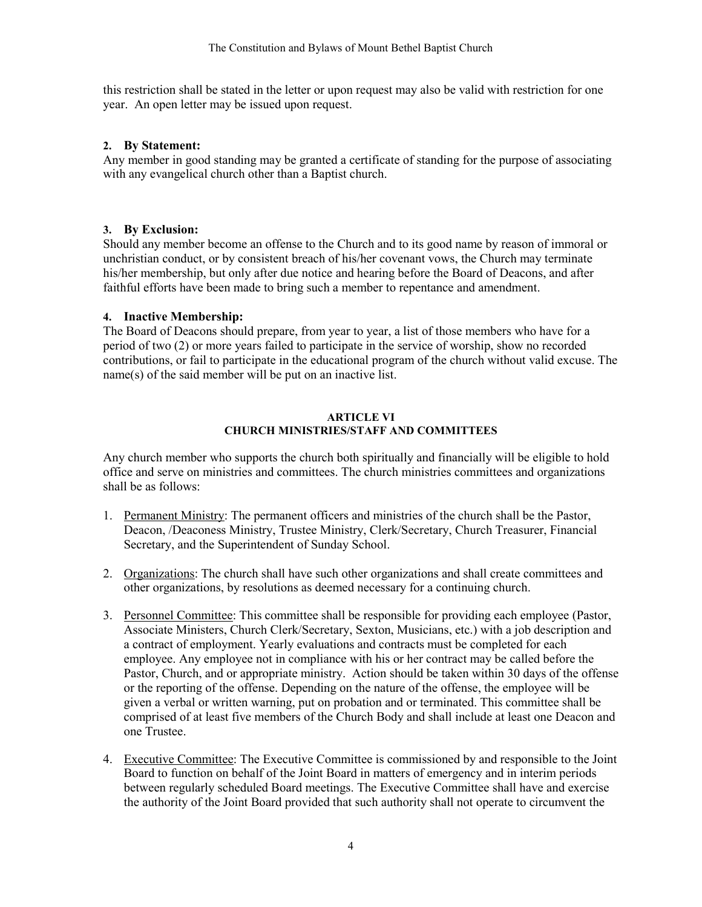this restriction shall be stated in the letter or upon request may also be valid with restriction for one year. An open letter may be issued upon request.

## **2. By Statement:**

Any member in good standing may be granted a certificate of standing for the purpose of associating with any evangelical church other than a Baptist church.

## **3. By Exclusion:**

Should any member become an offense to the Church and to its good name by reason of immoral or unchristian conduct, or by consistent breach of his/her covenant vows, the Church may terminate his/her membership, but only after due notice and hearing before the Board of Deacons, and after faithful efforts have been made to bring such a member to repentance and amendment.

## **4. Inactive Membership:**

The Board of Deacons should prepare, from year to year, a list of those members who have for a period of two (2) or more years failed to participate in the service of worship, show no recorded contributions, or fail to participate in the educational program of the church without valid excuse. The name(s) of the said member will be put on an inactive list.

#### **ARTICLE VI CHURCH MINISTRIES/STAFF AND COMMITTEES**

Any church member who supports the church both spiritually and financially will be eligible to hold office and serve on ministries and committees. The church ministries committees and organizations shall be as follows:

- 1. Permanent Ministry: The permanent officers and ministries of the church shall be the Pastor, Deacon, /Deaconess Ministry, Trustee Ministry, Clerk/Secretary, Church Treasurer, Financial Secretary, and the Superintendent of Sunday School.
- 2. Organizations: The church shall have such other organizations and shall create committees and other organizations, by resolutions as deemed necessary for a continuing church.
- 3. Personnel Committee: This committee shall be responsible for providing each employee (Pastor, Associate Ministers, Church Clerk/Secretary, Sexton, Musicians, etc.) with a job description and a contract of employment. Yearly evaluations and contracts must be completed for each employee. Any employee not in compliance with his or her contract may be called before the Pastor, Church, and or appropriate ministry. Action should be taken within 30 days of the offense or the reporting of the offense. Depending on the nature of the offense, the employee will be given a verbal or written warning, put on probation and or terminated. This committee shall be comprised of at least five members of the Church Body and shall include at least one Deacon and one Trustee.
- 4. Executive Committee: The Executive Committee is commissioned by and responsible to the Joint Board to function on behalf of the Joint Board in matters of emergency and in interim periods between regularly scheduled Board meetings. The Executive Committee shall have and exercise the authority of the Joint Board provided that such authority shall not operate to circumvent the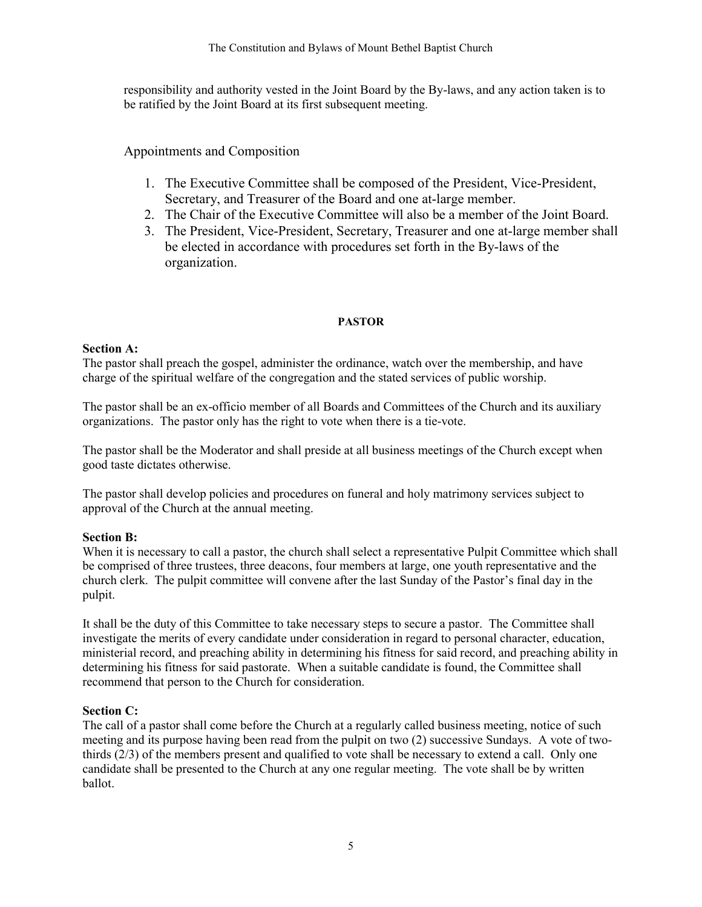responsibility and authority vested in the Joint Board by the By-laws, and any action taken is to be ratified by the Joint Board at its first subsequent meeting.

Appointments and Composition

- 1. The Executive Committee shall be composed of the President, Vice-President, Secretary, and Treasurer of the Board and one at-large member.
- 2. The Chair of the Executive Committee will also be a member of the Joint Board.
- 3. The President, Vice-President, Secretary, Treasurer and one at-large member shall be elected in accordance with procedures set forth in the By-laws of the organization.

## **PASTOR**

## **Section A:**

The pastor shall preach the gospel, administer the ordinance, watch over the membership, and have charge of the spiritual welfare of the congregation and the stated services of public worship.

The pastor shall be an ex-officio member of all Boards and Committees of the Church and its auxiliary organizations. The pastor only has the right to vote when there is a tie-vote.

The pastor shall be the Moderator and shall preside at all business meetings of the Church except when good taste dictates otherwise.

The pastor shall develop policies and procedures on funeral and holy matrimony services subject to approval of the Church at the annual meeting.

## **Section B:**

When it is necessary to call a pastor, the church shall select a representative Pulpit Committee which shall be comprised of three trustees, three deacons, four members at large, one youth representative and the church clerk. The pulpit committee will convene after the last Sunday of the Pastor's final day in the pulpit.

It shall be the duty of this Committee to take necessary steps to secure a pastor. The Committee shall investigate the merits of every candidate under consideration in regard to personal character, education, ministerial record, and preaching ability in determining his fitness for said record, and preaching ability in determining his fitness for said pastorate. When a suitable candidate is found, the Committee shall recommend that person to the Church for consideration.

## **Section C:**

The call of a pastor shall come before the Church at a regularly called business meeting, notice of such meeting and its purpose having been read from the pulpit on two (2) successive Sundays. A vote of twothirds (2/3) of the members present and qualified to vote shall be necessary to extend a call. Only one candidate shall be presented to the Church at any one regular meeting. The vote shall be by written ballot.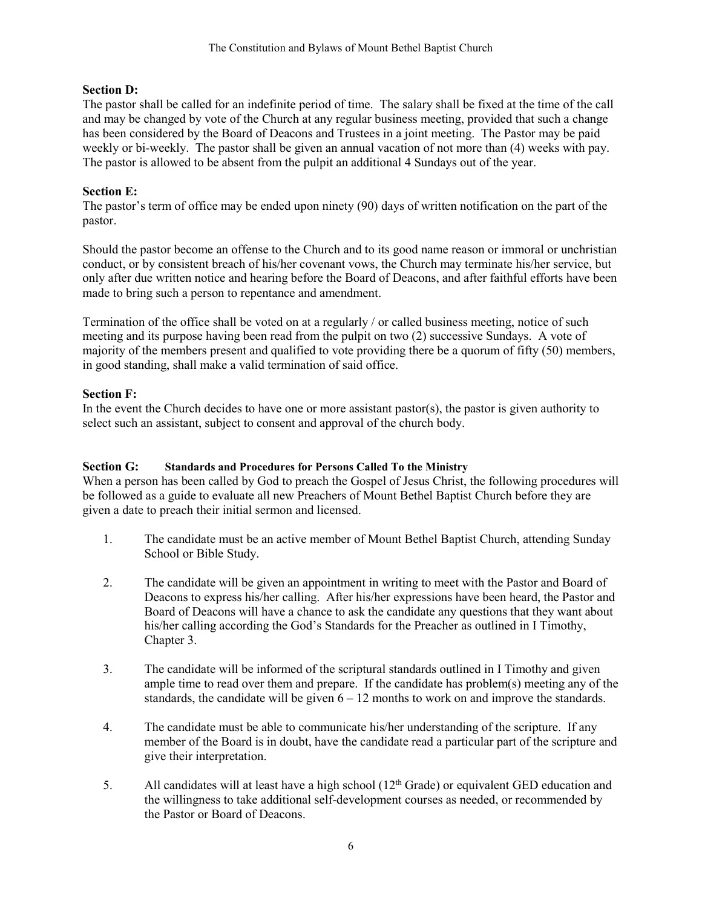## **Section D:**

The pastor shall be called for an indefinite period of time. The salary shall be fixed at the time of the call and may be changed by vote of the Church at any regular business meeting, provided that such a change has been considered by the Board of Deacons and Trustees in a joint meeting. The Pastor may be paid weekly or bi-weekly. The pastor shall be given an annual vacation of not more than (4) weeks with pay. The pastor is allowed to be absent from the pulpit an additional 4 Sundays out of the year.

## **Section E:**

The pastor's term of office may be ended upon ninety (90) days of written notification on the part of the pastor.

Should the pastor become an offense to the Church and to its good name reason or immoral or unchristian conduct, or by consistent breach of his/her covenant vows, the Church may terminate his/her service, but only after due written notice and hearing before the Board of Deacons, and after faithful efforts have been made to bring such a person to repentance and amendment.

Termination of the office shall be voted on at a regularly / or called business meeting, notice of such meeting and its purpose having been read from the pulpit on two (2) successive Sundays. A vote of majority of the members present and qualified to vote providing there be a quorum of fifty (50) members, in good standing, shall make a valid termination of said office.

## **Section F:**

In the event the Church decides to have one or more assistant pastor(s), the pastor is given authority to select such an assistant, subject to consent and approval of the church body.

## **Section G: Standards and Procedures for Persons Called To the Ministry**

When a person has been called by God to preach the Gospel of Jesus Christ, the following procedures will be followed as a guide to evaluate all new Preachers of Mount Bethel Baptist Church before they are given a date to preach their initial sermon and licensed.

- 1. The candidate must be an active member of Mount Bethel Baptist Church, attending Sunday School or Bible Study.
- 2. The candidate will be given an appointment in writing to meet with the Pastor and Board of Deacons to express his/her calling. After his/her expressions have been heard, the Pastor and Board of Deacons will have a chance to ask the candidate any questions that they want about his/her calling according the God's Standards for the Preacher as outlined in I Timothy, Chapter 3.
- 3. The candidate will be informed of the scriptural standards outlined in I Timothy and given ample time to read over them and prepare. If the candidate has problem(s) meeting any of the standards, the candidate will be given  $6 - 12$  months to work on and improve the standards.
- 4. The candidate must be able to communicate his/her understanding of the scripture. If any member of the Board is in doubt, have the candidate read a particular part of the scripture and give their interpretation.
- 5. All candidates will at least have a high school  $(12<sup>th</sup> Grade)$  or equivalent GED education and the willingness to take additional self-development courses as needed, or recommended by the Pastor or Board of Deacons.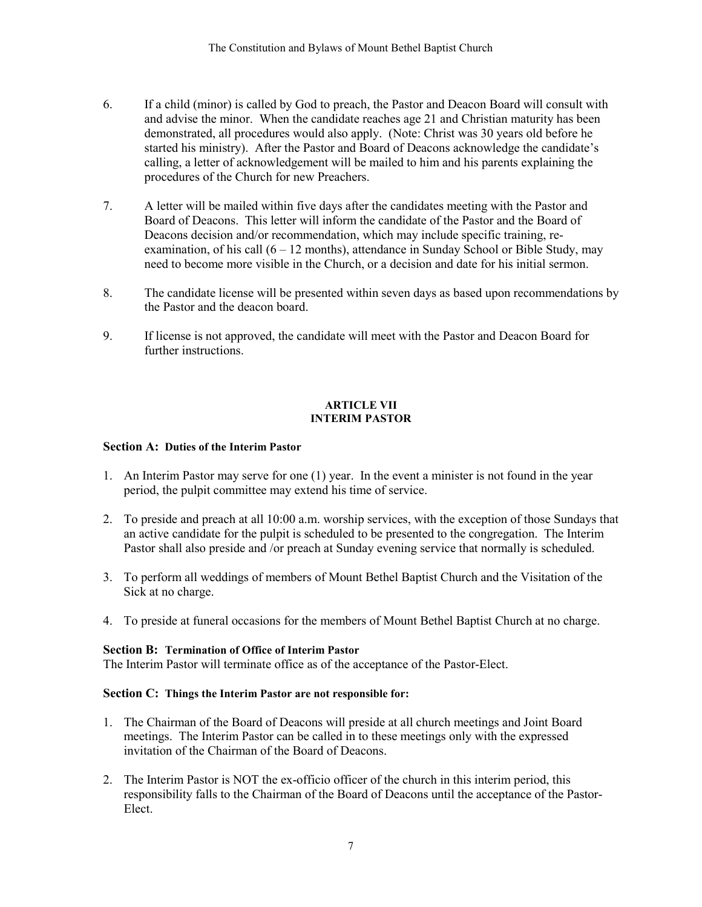- 6. If a child (minor) is called by God to preach, the Pastor and Deacon Board will consult with and advise the minor. When the candidate reaches age 21 and Christian maturity has been demonstrated, all procedures would also apply. (Note: Christ was 30 years old before he started his ministry). After the Pastor and Board of Deacons acknowledge the candidate's calling, a letter of acknowledgement will be mailed to him and his parents explaining the procedures of the Church for new Preachers.
- 7. A letter will be mailed within five days after the candidates meeting with the Pastor and Board of Deacons. This letter will inform the candidate of the Pastor and the Board of Deacons decision and/or recommendation, which may include specific training, reexamination, of his call  $(6 - 12 \text{ months})$ , attendance in Sunday School or Bible Study, may need to become more visible in the Church, or a decision and date for his initial sermon.
- 8. The candidate license will be presented within seven days as based upon recommendations by the Pastor and the deacon board.
- 9. If license is not approved, the candidate will meet with the Pastor and Deacon Board for further instructions.

## **ARTICLE VII INTERIM PASTOR**

## **Section A: Duties of the Interim Pastor**

- 1. An Interim Pastor may serve for one (1) year. In the event a minister is not found in the year period, the pulpit committee may extend his time of service.
- 2. To preside and preach at all 10:00 a.m. worship services, with the exception of those Sundays that an active candidate for the pulpit is scheduled to be presented to the congregation. The Interim Pastor shall also preside and /or preach at Sunday evening service that normally is scheduled.
- 3. To perform all weddings of members of Mount Bethel Baptist Church and the Visitation of the Sick at no charge.
- 4. To preside at funeral occasions for the members of Mount Bethel Baptist Church at no charge.

## **Section B: Termination of Office of Interim Pastor**

The Interim Pastor will terminate office as of the acceptance of the Pastor-Elect.

## **Section C: Things the Interim Pastor are not responsible for:**

- 1. The Chairman of the Board of Deacons will preside at all church meetings and Joint Board meetings. The Interim Pastor can be called in to these meetings only with the expressed invitation of the Chairman of the Board of Deacons.
- 2. The Interim Pastor is NOT the ex-officio officer of the church in this interim period, this responsibility falls to the Chairman of the Board of Deacons until the acceptance of the Pastor-Elect.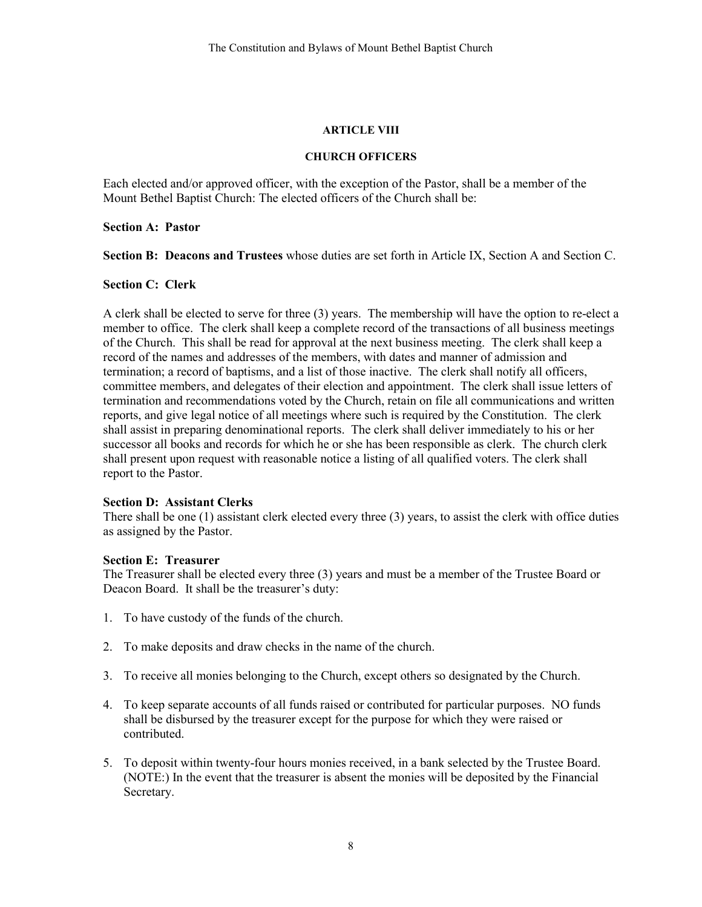#### **ARTICLE VIII**

#### **CHURCH OFFICERS**

Each elected and/or approved officer, with the exception of the Pastor, shall be a member of the Mount Bethel Baptist Church: The elected officers of the Church shall be:

#### **Section A: Pastor**

**Section B: Deacons and Trustees** whose duties are set forth in Article IX, Section A and Section C.

## **Section C: Clerk**

A clerk shall be elected to serve for three (3) years. The membership will have the option to re-elect a member to office. The clerk shall keep a complete record of the transactions of all business meetings of the Church. This shall be read for approval at the next business meeting. The clerk shall keep a record of the names and addresses of the members, with dates and manner of admission and termination; a record of baptisms, and a list of those inactive. The clerk shall notify all officers, committee members, and delegates of their election and appointment. The clerk shall issue letters of termination and recommendations voted by the Church, retain on file all communications and written reports, and give legal notice of all meetings where such is required by the Constitution. The clerk shall assist in preparing denominational reports. The clerk shall deliver immediately to his or her successor all books and records for which he or she has been responsible as clerk. The church clerk shall present upon request with reasonable notice a listing of all qualified voters. The clerk shall report to the Pastor.

## **Section D: Assistant Clerks**

There shall be one (1) assistant clerk elected every three (3) years, to assist the clerk with office duties as assigned by the Pastor.

## **Section E: Treasurer**

The Treasurer shall be elected every three (3) years and must be a member of the Trustee Board or Deacon Board. It shall be the treasurer's duty:

- 1. To have custody of the funds of the church.
- 2. To make deposits and draw checks in the name of the church.
- 3. To receive all monies belonging to the Church, except others so designated by the Church.
- 4. To keep separate accounts of all funds raised or contributed for particular purposes. NO funds shall be disbursed by the treasurer except for the purpose for which they were raised or contributed.
- 5. To deposit within twenty-four hours monies received, in a bank selected by the Trustee Board. (NOTE:) In the event that the treasurer is absent the monies will be deposited by the Financial Secretary.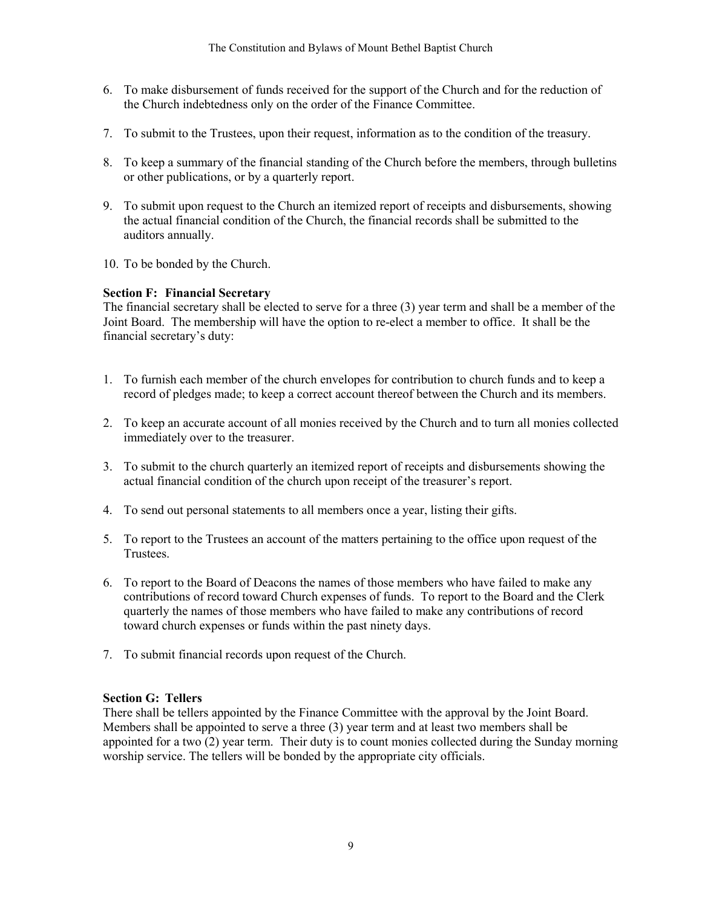- 6. To make disbursement of funds received for the support of the Church and for the reduction of the Church indebtedness only on the order of the Finance Committee.
- 7. To submit to the Trustees, upon their request, information as to the condition of the treasury.
- 8. To keep a summary of the financial standing of the Church before the members, through bulletins or other publications, or by a quarterly report.
- 9. To submit upon request to the Church an itemized report of receipts and disbursements, showing the actual financial condition of the Church, the financial records shall be submitted to the auditors annually.
- 10. To be bonded by the Church.

## **Section F: Financial Secretary**

The financial secretary shall be elected to serve for a three (3) year term and shall be a member of the Joint Board. The membership will have the option to re-elect a member to office. It shall be the financial secretary's duty:

- 1. To furnish each member of the church envelopes for contribution to church funds and to keep a record of pledges made; to keep a correct account thereof between the Church and its members.
- 2. To keep an accurate account of all monies received by the Church and to turn all monies collected immediately over to the treasurer.
- 3. To submit to the church quarterly an itemized report of receipts and disbursements showing the actual financial condition of the church upon receipt of the treasurer's report.
- 4. To send out personal statements to all members once a year, listing their gifts.
- 5. To report to the Trustees an account of the matters pertaining to the office upon request of the Trustees.
- 6. To report to the Board of Deacons the names of those members who have failed to make any contributions of record toward Church expenses of funds. To report to the Board and the Clerk quarterly the names of those members who have failed to make any contributions of record toward church expenses or funds within the past ninety days.
- 7. To submit financial records upon request of the Church.

## **Section G: Tellers**

There shall be tellers appointed by the Finance Committee with the approval by the Joint Board. Members shall be appointed to serve a three (3) year term and at least two members shall be appointed for a two (2) year term. Their duty is to count monies collected during the Sunday morning worship service. The tellers will be bonded by the appropriate city officials.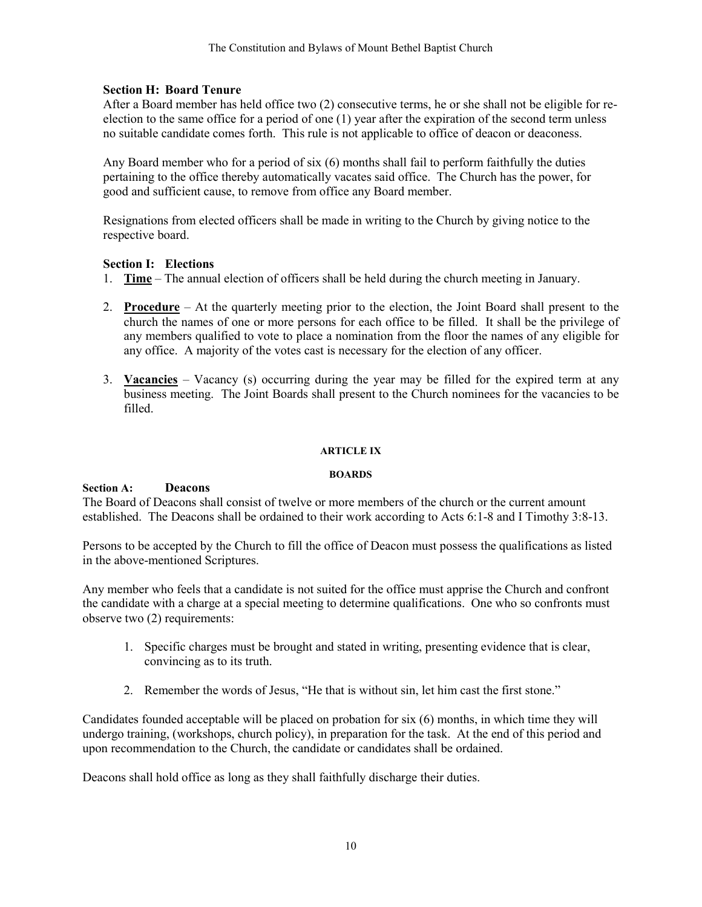## **Section H: Board Tenure**

After a Board member has held office two (2) consecutive terms, he or she shall not be eligible for reelection to the same office for a period of one (1) year after the expiration of the second term unless no suitable candidate comes forth. This rule is not applicable to office of deacon or deaconess.

Any Board member who for a period of six (6) months shall fail to perform faithfully the duties pertaining to the office thereby automatically vacates said office. The Church has the power, for good and sufficient cause, to remove from office any Board member.

Resignations from elected officers shall be made in writing to the Church by giving notice to the respective board.

## **Section I: Elections**

- 1. **Time** The annual election of officers shall be held during the church meeting in January.
- 2. **Procedure** At the quarterly meeting prior to the election, the Joint Board shall present to the church the names of one or more persons for each office to be filled. It shall be the privilege of any members qualified to vote to place a nomination from the floor the names of any eligible for any office. A majority of the votes cast is necessary for the election of any officer.
- 3. **Vacancies** Vacancy (s) occurring during the year may be filled for the expired term at any business meeting. The Joint Boards shall present to the Church nominees for the vacancies to be filled.

## **ARTICLE IX**

## **BOARDS**

## **Section A: Deacons**

The Board of Deacons shall consist of twelve or more members of the church or the current amount established. The Deacons shall be ordained to their work according to Acts 6:1-8 and I Timothy 3:8-13.

Persons to be accepted by the Church to fill the office of Deacon must possess the qualifications as listed in the above-mentioned Scriptures.

Any member who feels that a candidate is not suited for the office must apprise the Church and confront the candidate with a charge at a special meeting to determine qualifications. One who so confronts must observe two (2) requirements:

- 1. Specific charges must be brought and stated in writing, presenting evidence that is clear, convincing as to its truth.
- 2. Remember the words of Jesus, "He that is without sin, let him cast the first stone."

Candidates founded acceptable will be placed on probation for six (6) months, in which time they will undergo training, (workshops, church policy), in preparation for the task. At the end of this period and upon recommendation to the Church, the candidate or candidates shall be ordained.

Deacons shall hold office as long as they shall faithfully discharge their duties.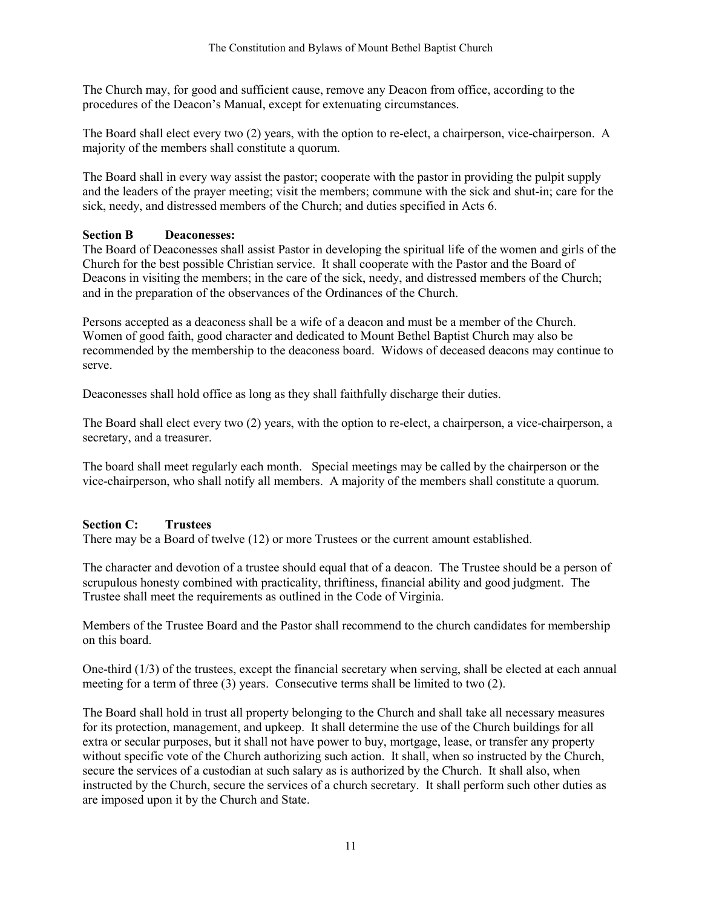The Church may, for good and sufficient cause, remove any Deacon from office, according to the procedures of the Deacon's Manual, except for extenuating circumstances.

The Board shall elect every two (2) years, with the option to re-elect, a chairperson, vice-chairperson. A majority of the members shall constitute a quorum.

The Board shall in every way assist the pastor; cooperate with the pastor in providing the pulpit supply and the leaders of the prayer meeting; visit the members; commune with the sick and shut-in; care for the sick, needy, and distressed members of the Church; and duties specified in Acts 6.

## **Section B Deaconesses:**

The Board of Deaconesses shall assist Pastor in developing the spiritual life of the women and girls of the Church for the best possible Christian service. It shall cooperate with the Pastor and the Board of Deacons in visiting the members; in the care of the sick, needy, and distressed members of the Church; and in the preparation of the observances of the Ordinances of the Church.

Persons accepted as a deaconess shall be a wife of a deacon and must be a member of the Church. Women of good faith, good character and dedicated to Mount Bethel Baptist Church may also be recommended by the membership to the deaconess board. Widows of deceased deacons may continue to serve.

Deaconesses shall hold office as long as they shall faithfully discharge their duties.

The Board shall elect every two (2) years, with the option to re-elect, a chairperson, a vice-chairperson, a secretary, and a treasurer.

The board shall meet regularly each month. Special meetings may be called by the chairperson or the vice-chairperson, who shall notify all members. A majority of the members shall constitute a quorum.

## **Section C: Trustees**

There may be a Board of twelve (12) or more Trustees or the current amount established.

The character and devotion of a trustee should equal that of a deacon. The Trustee should be a person of scrupulous honesty combined with practicality, thriftiness, financial ability and good judgment. The Trustee shall meet the requirements as outlined in the Code of Virginia.

Members of the Trustee Board and the Pastor shall recommend to the church candidates for membership on this board.

One-third (1/3) of the trustees, except the financial secretary when serving, shall be elected at each annual meeting for a term of three (3) years. Consecutive terms shall be limited to two (2).

The Board shall hold in trust all property belonging to the Church and shall take all necessary measures for its protection, management, and upkeep. It shall determine the use of the Church buildings for all extra or secular purposes, but it shall not have power to buy, mortgage, lease, or transfer any property without specific vote of the Church authorizing such action. It shall, when so instructed by the Church, secure the services of a custodian at such salary as is authorized by the Church. It shall also, when instructed by the Church, secure the services of a church secretary. It shall perform such other duties as are imposed upon it by the Church and State.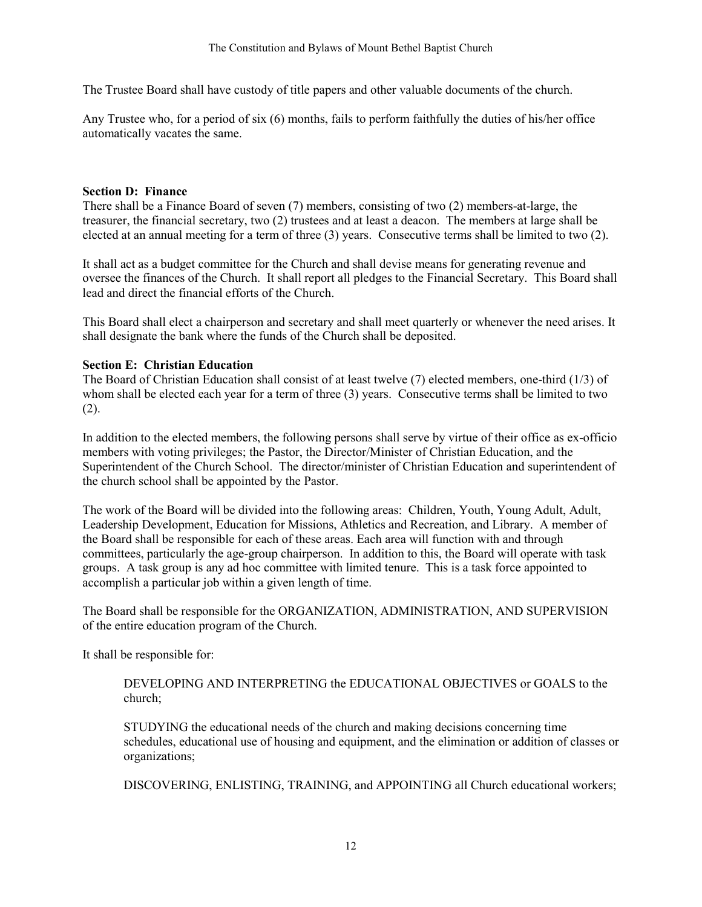The Trustee Board shall have custody of title papers and other valuable documents of the church.

Any Trustee who, for a period of six (6) months, fails to perform faithfully the duties of his/her office automatically vacates the same.

## **Section D: Finance**

There shall be a Finance Board of seven (7) members, consisting of two (2) members-at-large, the treasurer, the financial secretary, two (2) trustees and at least a deacon. The members at large shall be elected at an annual meeting for a term of three (3) years. Consecutive terms shall be limited to two (2).

It shall act as a budget committee for the Church and shall devise means for generating revenue and oversee the finances of the Church. It shall report all pledges to the Financial Secretary. This Board shall lead and direct the financial efforts of the Church.

This Board shall elect a chairperson and secretary and shall meet quarterly or whenever the need arises. It shall designate the bank where the funds of the Church shall be deposited.

## **Section E: Christian Education**

The Board of Christian Education shall consist of at least twelve (7) elected members, one-third (1/3) of whom shall be elected each year for a term of three (3) years. Consecutive terms shall be limited to two (2).

In addition to the elected members, the following persons shall serve by virtue of their office as ex-officio members with voting privileges; the Pastor, the Director/Minister of Christian Education, and the Superintendent of the Church School. The director/minister of Christian Education and superintendent of the church school shall be appointed by the Pastor.

The work of the Board will be divided into the following areas: Children, Youth, Young Adult, Adult, Leadership Development, Education for Missions, Athletics and Recreation, and Library. A member of the Board shall be responsible for each of these areas. Each area will function with and through committees, particularly the age-group chairperson. In addition to this, the Board will operate with task groups. A task group is any ad hoc committee with limited tenure. This is a task force appointed to accomplish a particular job within a given length of time.

The Board shall be responsible for the ORGANIZATION, ADMINISTRATION, AND SUPERVISION of the entire education program of the Church.

It shall be responsible for:

DEVELOPING AND INTERPRETING the EDUCATIONAL OBJECTIVES or GOALS to the church;

STUDYING the educational needs of the church and making decisions concerning time schedules, educational use of housing and equipment, and the elimination or addition of classes or organizations;

DISCOVERING, ENLISTING, TRAINING, and APPOINTING all Church educational workers;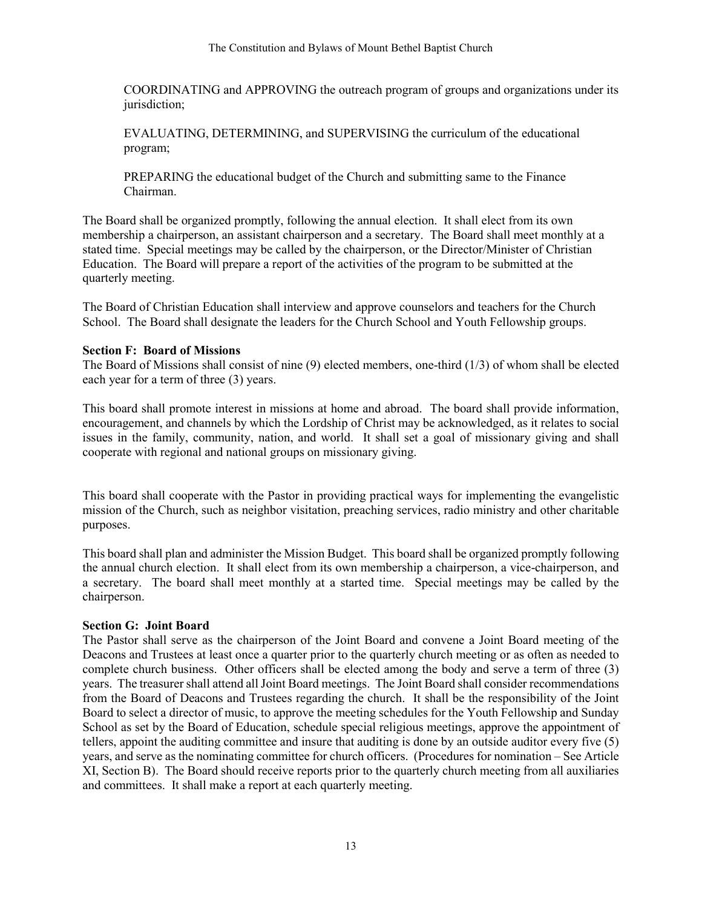COORDINATING and APPROVING the outreach program of groups and organizations under its jurisdiction;

EVALUATING, DETERMINING, and SUPERVISING the curriculum of the educational program;

PREPARING the educational budget of the Church and submitting same to the Finance Chairman.

The Board shall be organized promptly, following the annual election. It shall elect from its own membership a chairperson, an assistant chairperson and a secretary. The Board shall meet monthly at a stated time. Special meetings may be called by the chairperson, or the Director/Minister of Christian Education. The Board will prepare a report of the activities of the program to be submitted at the quarterly meeting.

The Board of Christian Education shall interview and approve counselors and teachers for the Church School. The Board shall designate the leaders for the Church School and Youth Fellowship groups.

## **Section F: Board of Missions**

The Board of Missions shall consist of nine (9) elected members, one-third (1/3) of whom shall be elected each year for a term of three (3) years.

This board shall promote interest in missions at home and abroad. The board shall provide information, encouragement, and channels by which the Lordship of Christ may be acknowledged, as it relates to social issues in the family, community, nation, and world. It shall set a goal of missionary giving and shall cooperate with regional and national groups on missionary giving.

This board shall cooperate with the Pastor in providing practical ways for implementing the evangelistic mission of the Church, such as neighbor visitation, preaching services, radio ministry and other charitable purposes.

This board shall plan and administer the Mission Budget. This board shall be organized promptly following the annual church election. It shall elect from its own membership a chairperson, a vice-chairperson, and a secretary. The board shall meet monthly at a started time. Special meetings may be called by the chairperson.

## **Section G: Joint Board**

The Pastor shall serve as the chairperson of the Joint Board and convene a Joint Board meeting of the Deacons and Trustees at least once a quarter prior to the quarterly church meeting or as often as needed to complete church business. Other officers shall be elected among the body and serve a term of three (3) years. The treasurer shall attend all Joint Board meetings. The Joint Board shall consider recommendations from the Board of Deacons and Trustees regarding the church. It shall be the responsibility of the Joint Board to select a director of music, to approve the meeting schedules for the Youth Fellowship and Sunday School as set by the Board of Education, schedule special religious meetings, approve the appointment of tellers, appoint the auditing committee and insure that auditing is done by an outside auditor every five (5) years, and serve as the nominating committee for church officers. (Procedures for nomination – See Article XI, Section B). The Board should receive reports prior to the quarterly church meeting from all auxiliaries and committees. It shall make a report at each quarterly meeting.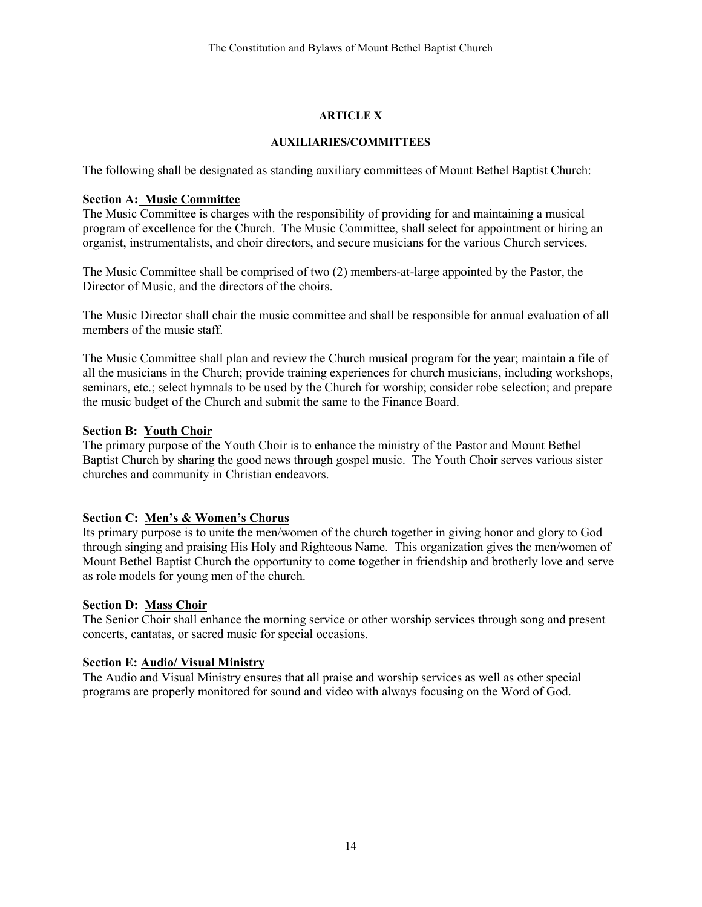## **ARTICLE X**

## **AUXILIARIES/COMMITTEES**

The following shall be designated as standing auxiliary committees of Mount Bethel Baptist Church:

## **Section A: Music Committee**

The Music Committee is charges with the responsibility of providing for and maintaining a musical program of excellence for the Church. The Music Committee, shall select for appointment or hiring an organist, instrumentalists, and choir directors, and secure musicians for the various Church services.

The Music Committee shall be comprised of two (2) members-at-large appointed by the Pastor, the Director of Music, and the directors of the choirs.

The Music Director shall chair the music committee and shall be responsible for annual evaluation of all members of the music staff.

The Music Committee shall plan and review the Church musical program for the year; maintain a file of all the musicians in the Church; provide training experiences for church musicians, including workshops, seminars, etc.; select hymnals to be used by the Church for worship; consider robe selection; and prepare the music budget of the Church and submit the same to the Finance Board.

## **Section B: Youth Choir**

The primary purpose of the Youth Choir is to enhance the ministry of the Pastor and Mount Bethel Baptist Church by sharing the good news through gospel music. The Youth Choir serves various sister churches and community in Christian endeavors.

## **Section C: Men's & Women's Chorus**

Its primary purpose is to unite the men/women of the church together in giving honor and glory to God through singing and praising His Holy and Righteous Name. This organization gives the men/women of Mount Bethel Baptist Church the opportunity to come together in friendship and brotherly love and serve as role models for young men of the church.

## **Section D: Mass Choir**

The Senior Choir shall enhance the morning service or other worship services through song and present concerts, cantatas, or sacred music for special occasions.

## **Section E: Audio/ Visual Ministry**

The Audio and Visual Ministry ensures that all praise and worship services as well as other special programs are properly monitored for sound and video with always focusing on the Word of God.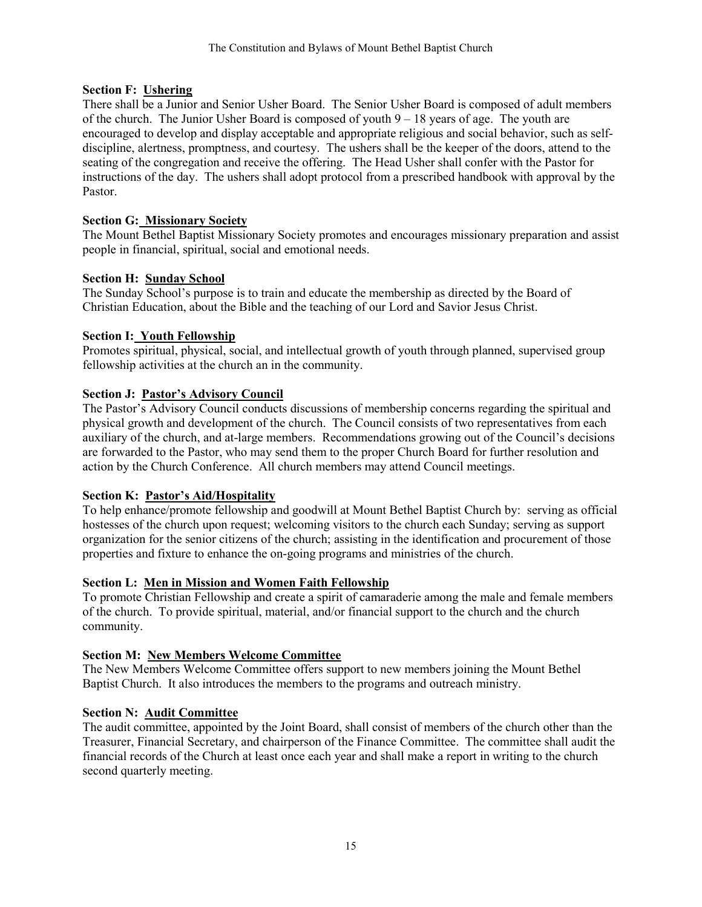## **Section F: Ushering**

There shall be a Junior and Senior Usher Board. The Senior Usher Board is composed of adult members of the church. The Junior Usher Board is composed of youth  $9 - 18$  years of age. The youth are encouraged to develop and display acceptable and appropriate religious and social behavior, such as selfdiscipline, alertness, promptness, and courtesy. The ushers shall be the keeper of the doors, attend to the seating of the congregation and receive the offering. The Head Usher shall confer with the Pastor for instructions of the day. The ushers shall adopt protocol from a prescribed handbook with approval by the Pastor.

## **Section G: Missionary Society**

The Mount Bethel Baptist Missionary Society promotes and encourages missionary preparation and assist people in financial, spiritual, social and emotional needs.

## **Section H: Sunday School**

The Sunday School's purpose is to train and educate the membership as directed by the Board of Christian Education, about the Bible and the teaching of our Lord and Savior Jesus Christ.

## **Section I: Youth Fellowship**

Promotes spiritual, physical, social, and intellectual growth of youth through planned, supervised group fellowship activities at the church an in the community.

## **Section J: Pastor's Advisory Council**

The Pastor's Advisory Council conducts discussions of membership concerns regarding the spiritual and physical growth and development of the church. The Council consists of two representatives from each auxiliary of the church, and at-large members. Recommendations growing out of the Council's decisions are forwarded to the Pastor, who may send them to the proper Church Board for further resolution and action by the Church Conference. All church members may attend Council meetings.

## **Section K: Pastor's Aid/Hospitality**

To help enhance/promote fellowship and goodwill at Mount Bethel Baptist Church by: serving as official hostesses of the church upon request; welcoming visitors to the church each Sunday; serving as support organization for the senior citizens of the church; assisting in the identification and procurement of those properties and fixture to enhance the on-going programs and ministries of the church.

## **Section L: Men in Mission and Women Faith Fellowship**

To promote Christian Fellowship and create a spirit of camaraderie among the male and female members of the church. To provide spiritual, material, and/or financial support to the church and the church community.

## **Section M: New Members Welcome Committee**

The New Members Welcome Committee offers support to new members joining the Mount Bethel Baptist Church. It also introduces the members to the programs and outreach ministry.

## **Section N: Audit Committee**

The audit committee, appointed by the Joint Board, shall consist of members of the church other than the Treasurer, Financial Secretary, and chairperson of the Finance Committee. The committee shall audit the financial records of the Church at least once each year and shall make a report in writing to the church second quarterly meeting.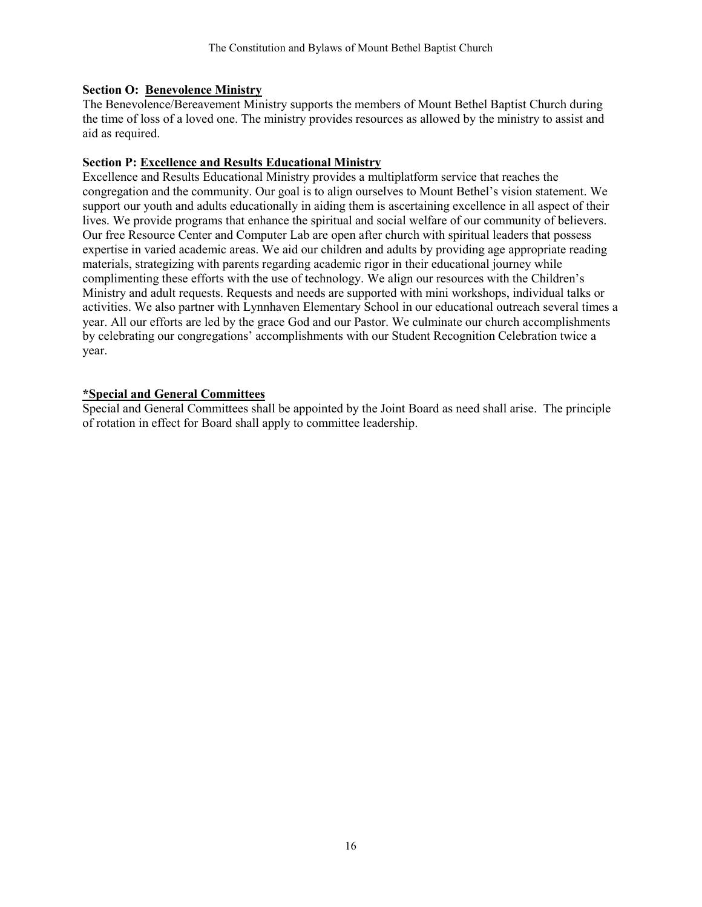## **Section O: Benevolence Ministry**

The Benevolence/Bereavement Ministry supports the members of Mount Bethel Baptist Church during the time of loss of a loved one. The ministry provides resources as allowed by the ministry to assist and aid as required.

## **Section P: Excellence and Results Educational Ministry**

Excellence and Results Educational Ministry provides a multiplatform service that reaches the congregation and the community. Our goal is to align ourselves to Mount Bethel's vision statement. We support our youth and adults educationally in aiding them is ascertaining excellence in all aspect of their lives. We provide programs that enhance the spiritual and social welfare of our community of believers. Our free Resource Center and Computer Lab are open after church with spiritual leaders that possess expertise in varied academic areas. We aid our children and adults by providing age appropriate reading materials, strategizing with parents regarding academic rigor in their educational journey while complimenting these efforts with the use of technology. We align our resources with the Children's Ministry and adult requests. Requests and needs are supported with mini workshops, individual talks or activities. We also partner with Lynnhaven Elementary School in our educational outreach several times a year. All our efforts are led by the grace God and our Pastor. We culminate our church accomplishments by celebrating our congregations' accomplishments with our Student Recognition Celebration twice a year.

## **\*Special and General Committees**

Special and General Committees shall be appointed by the Joint Board as need shall arise. The principle of rotation in effect for Board shall apply to committee leadership.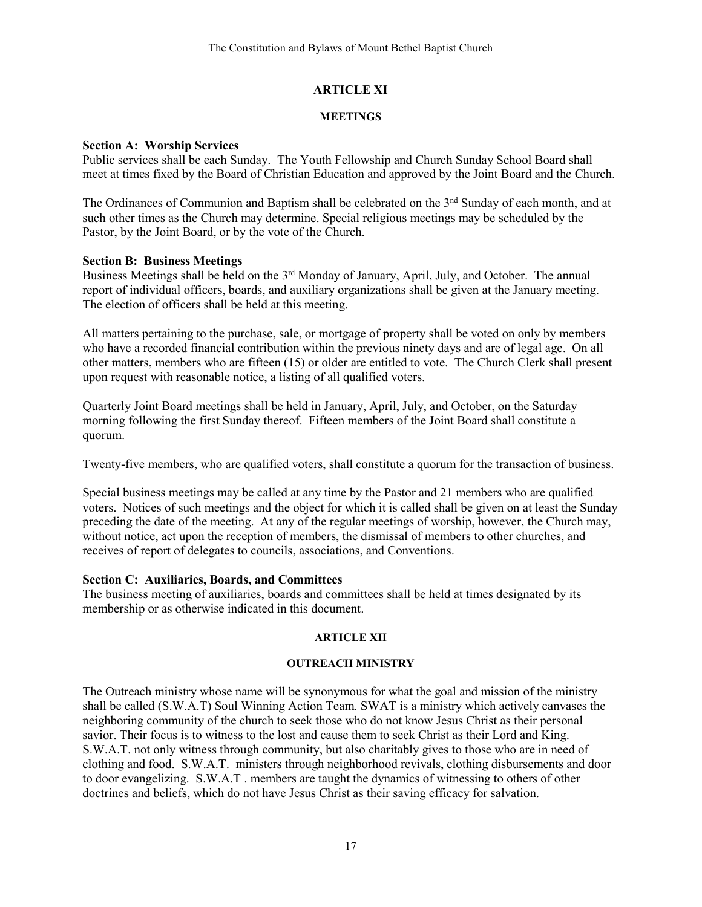## **ARTICLE XI**

## **MEETINGS**

## **Section A: Worship Services**

Public services shall be each Sunday. The Youth Fellowship and Church Sunday School Board shall meet at times fixed by the Board of Christian Education and approved by the Joint Board and the Church.

The Ordinances of Communion and Baptism shall be celebrated on the 3<sup>nd</sup> Sunday of each month, and at such other times as the Church may determine. Special religious meetings may be scheduled by the Pastor, by the Joint Board, or by the vote of the Church.

## **Section B: Business Meetings**

Business Meetings shall be held on the 3<sup>rd</sup> Monday of January, April, July, and October. The annual report of individual officers, boards, and auxiliary organizations shall be given at the January meeting. The election of officers shall be held at this meeting.

All matters pertaining to the purchase, sale, or mortgage of property shall be voted on only by members who have a recorded financial contribution within the previous ninety days and are of legal age. On all other matters, members who are fifteen (15) or older are entitled to vote. The Church Clerk shall present upon request with reasonable notice, a listing of all qualified voters.

Quarterly Joint Board meetings shall be held in January, April, July, and October, on the Saturday morning following the first Sunday thereof. Fifteen members of the Joint Board shall constitute a quorum.

Twenty-five members, who are qualified voters, shall constitute a quorum for the transaction of business.

Special business meetings may be called at any time by the Pastor and 21 members who are qualified voters. Notices of such meetings and the object for which it is called shall be given on at least the Sunday preceding the date of the meeting. At any of the regular meetings of worship, however, the Church may, without notice, act upon the reception of members, the dismissal of members to other churches, and receives of report of delegates to councils, associations, and Conventions.

## **Section C: Auxiliaries, Boards, and Committees**

The business meeting of auxiliaries, boards and committees shall be held at times designated by its membership or as otherwise indicated in this document.

## **ARTICLE XII**

## **OUTREACH MINISTRY**

The Outreach ministry whose name will be synonymous for what the goal and mission of the ministry shall be called (S.W.A.T) Soul Winning Action Team. SWAT is a ministry which actively canvases the neighboring community of the church to seek those who do not know Jesus Christ as their personal savior. Their focus is to witness to the lost and cause them to seek Christ as their Lord and King. S.W.A.T. not only witness through community, but also charitably gives to those who are in need of clothing and food. S.W.A.T. ministers through neighborhood revivals, clothing disbursements and door to door evangelizing. S.W.A.T . members are taught the dynamics of witnessing to others of other doctrines and beliefs, which do not have Jesus Christ as their saving efficacy for salvation.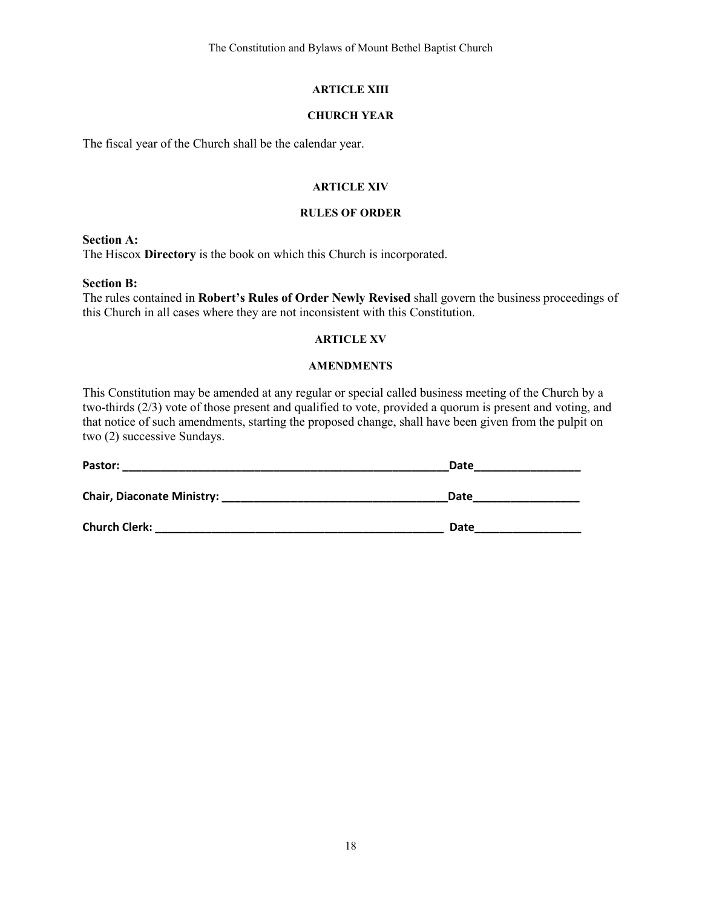The Constitution and Bylaws of Mount Bethel Baptist Church

#### **ARTICLE XIII**

#### **CHURCH YEAR**

The fiscal year of the Church shall be the calendar year.

#### **ARTICLE XIV**

#### **RULES OF ORDER**

**Section A:** The Hiscox **Directory** is the book on which this Church is incorporated.

## **Section B:**

The rules contained in **Robert's Rules of Order Newly Revised** shall govern the business proceedings of this Church in all cases where they are not inconsistent with this Constitution.

#### **ARTICLE XV**

#### **AMENDMENTS**

This Constitution may be amended at any regular or special called business meeting of the Church by a two-thirds (2/3) vote of those present and qualified to vote, provided a quorum is present and voting, and that notice of such amendments, starting the proposed change, shall have been given from the pulpit on two (2) successive Sundays.

| Pastor:                           | Date |
|-----------------------------------|------|
| <b>Chair, Diaconate Ministry:</b> | Date |
| <b>Church Clerk:</b>              | Date |